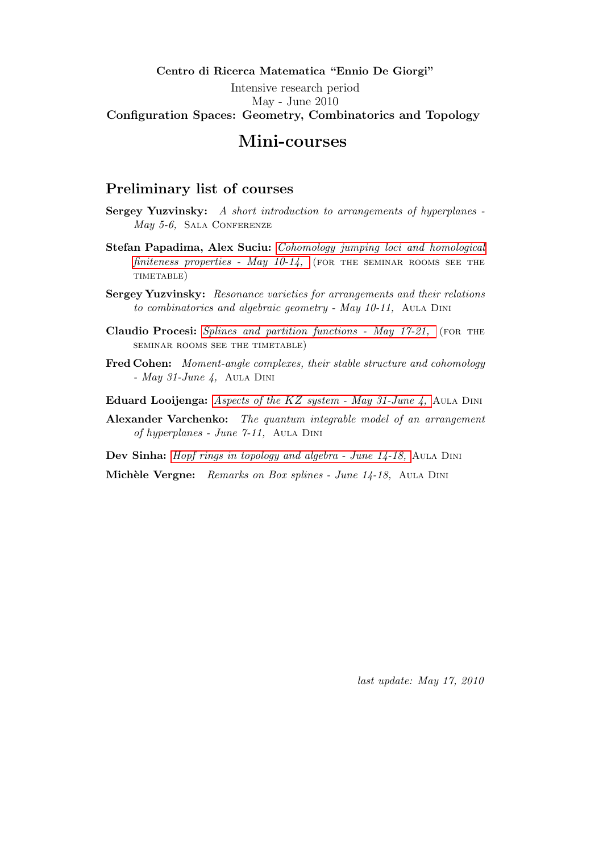#### Centro di Ricerca Matematica "Ennio De Giorgi" Intensive research period May - June 2010 Configuration Spaces: Geometry, Combinatorics and Topology

## Mini-courses

#### <span id="page-0-0"></span>Preliminary list of courses

- Sergey Yuzvinsky: A short introduction to arrangements of hyperplanes - $May\ 5-6$ , SALA CONFERENZE
- Stefan Papadima, Alex Suciu: [Cohomology jumping loci and homological](#page-3-0) finiteness properties - May  $10-14$ , (FOR THE SEMINAR ROOMS SEE THE timetable)
- Sergey Yuzvinsky: Resonance varieties for arrangements and their relations to combinatorics and algebraic geometry - May 10-11, AULA DINI
- Claudio Procesi: [Splines and partition functions May 17-21,](#page-4-0) (FOR THE seminar rooms see the timetable)
- Fred Cohen: Moment-angle complexes, their stable structure and cohomology - May 31-June  $\lambda$ , AULA DINI
- Eduard Looijenga: Aspects of the KZ [system May 31-June 4,](#page-4-1) Aula Dini
- Alexander Varchenko: The quantum integrable model of an arrangement of hyperplanes - June 7-11, Aula Dini

Dev Sinha: *Hopf rings in topology and algebra - June 14-18*, AULA DINI

Michèle Vergne: Remarks on Box splines - June 14-18, AULA DINI

last update: May 17, 2010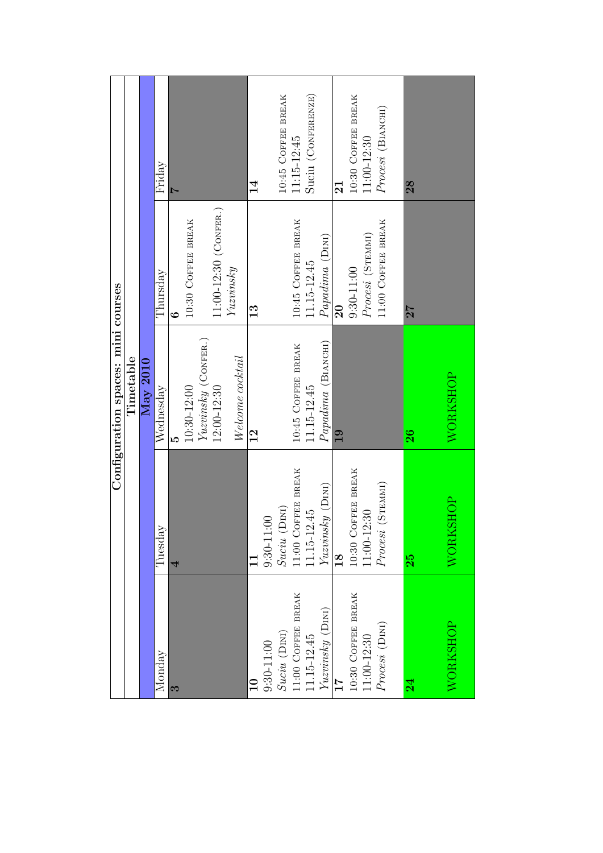|                    |                                   | Configuration spaces: mini courses |                         |                         |
|--------------------|-----------------------------------|------------------------------------|-------------------------|-------------------------|
|                    |                                   | Timetable                          |                         |                         |
|                    |                                   | ${\rm May~2010}$                   |                         |                         |
| Monday             | Tuesday                           | Wednesday                          | Thursday                | Friday                  |
| 3                  | 4                                 |                                    | $\ddot{\circ}$          |                         |
|                    |                                   | $10:30 - 12:00$                    | 10:30 COFFEE BREAK      |                         |
|                    |                                   | $Yuzvinsky$ (CONFER.)              |                         |                         |
|                    |                                   | 12:00-12:30                        | 11:00-12:30 (CONFER.)   |                         |
|                    |                                   | Welcome cocktail                   | Yuzvinsky               |                         |
|                    |                                   | $\frac{2}{1}$                      | 13                      | $\frac{4}{3}$           |
| $9:30 - 11:00$     | $9:30 - 11:00$                    |                                    |                         |                         |
| $Suciu$ (DINI)     | $Suciu$ (DINI)                    |                                    |                         | 10:45 COFFEE BREAK      |
| 11:00 COFFEE BREAK | 11:00 COFFEE BREAK                | 10:45 COFFEE BREAK                 | 10:45 COFFEE BREAK      | 11:15-12:45             |
| 11.15-12.45        | 11.15-12.45                       | 11.15-12.45                        | 11.15-12.45             | Suciu (CONFERENZE)      |
| $Yuzvinsky$ (DINI) | $Yuzvinsky$ (DINI)                | Papadima (BIANCHI)                 | Papadima (DINI)         |                         |
| 17                 | $\frac{8}{18}$                    | $\overline{19}$                    | $\overline{\mathbf{S}}$ | $\overline{\mathbf{2}}$ |
| 10:30 COFFEE BREAK |                                   |                                    | $9:30 - 11:00$          | 10:30 COFFEE BREAK      |
| $11:00 - 12:30$    | 10:30 СОFFEE BREAK<br>11:00-12:30 |                                    | Procesi (STEMMI)        | $11:00 - 12:30$         |
| Process (Dini)     | Procesi (STEMMI)                  |                                    | 11:00 COFFEE BREAK      | $Process$ (Віл<br>ксні) |
|                    |                                   |                                    |                         |                         |
| $\overline{24}$    | 25                                | 26                                 | 27                      | 28                      |
|                    |                                   |                                    |                         |                         |
| WORKSHOP           | <b>SHOP</b><br>WORK               | WORKSHOP                           |                         |                         |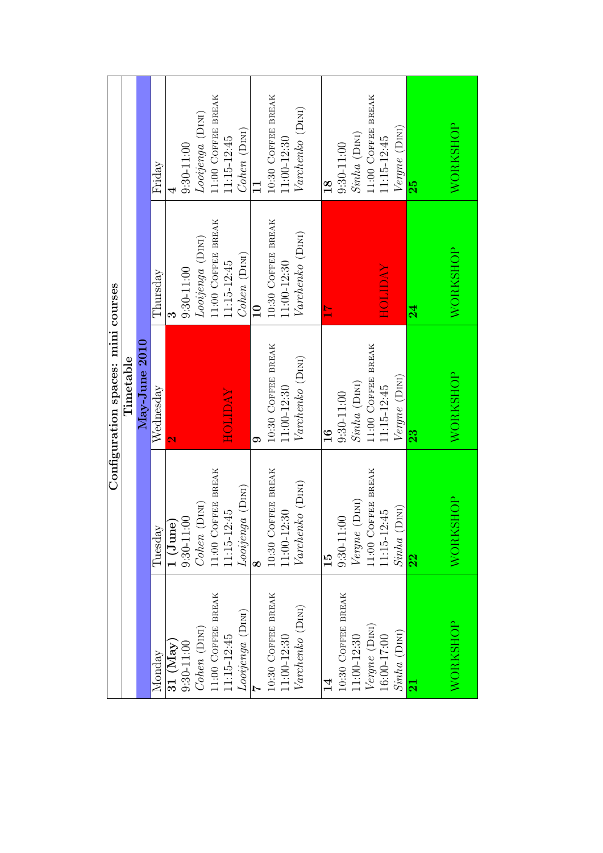| Configuration spaces: mini courses | Timetable | May-June 2010 | Friday    |                      | $9:30 - 11:00$                                             | Looijenga (DINI)         | 11:00 COFFEE BREAK | 11:15-12:45    | Cohen (DINI)     |                 | 10:30 COFFEE BREAK                | $11:00 - 12:30$ | Varchenko (DINI) | 18            | $9:30 - 11:00$     | Sinha (DINI)    | 11:00 COFFEE BREAK                                                                             | 11:15-12:45                       | Vergne (DINI)      | 25                      | WORKSHOP |  |
|------------------------------------|-----------|---------------|-----------|----------------------|------------------------------------------------------------|--------------------------|--------------------|----------------|------------------|-----------------|-----------------------------------|-----------------|------------------|---------------|--------------------|-----------------|------------------------------------------------------------------------------------------------|-----------------------------------|--------------------|-------------------------|----------|--|
|                                    |           |               | Thursday  | S                    | $9:30 - 11:00$                                             | Looijenga (DINI)         | 11:00 COFFEE BREAK | 11:15-12:45    | $Cohen$ (DINI)   | $\overline{10}$ | 10:30 COFFEE BREAK                | 11:00-12:30     | Varchenko (DINI) | $\frac{1}{1}$ |                    |                 |                                                                                                | <b>AV QTIOH</b>                   |                    | 24                      | WORKSHOP |  |
|                                    |           |               | Wednesday | $\mathbf{\tilde{c}}$ |                                                            |                          |                    | <b>AVCITOH</b> |                  | σ.              | 10:30 COFFEE BREAK                | 11:00-12:30     | Varchenko (DINI) | $\frac{6}{1}$ | $9:30 - 11:00$     | $Sinha$ (DINI)  | 11:00 COFFEE BREAK                                                                             | 11:15-12:45                       | Vergne (DINI)      | 23                      | WORKSHOP |  |
|                                    |           |               | Tuesday   |                      | $\frac{1}{1} \frac{(\text{June})}{(30 \cdot 11 \cdot 00)}$ | $Cohen$ (DINI)           | 11:00 COFFEE BREAK | 1115-12:45     | Looijenga (DINI) | ∞               | 10:30 COFFEE BREAK<br>11:00-12:30 |                 | Varchenko (DINI) | $\frac{1}{5}$ | $9:30 - 11:00$     | Vergne (DINI)   |                                                                                                | 11:00 COFFEE BREAK<br>11:15-12:45 | (DIM)<br>$Sinha$ ( | 22                      | WORKSHOF |  |
|                                    |           |               | Monday    |                      | 31 $(May)$<br>9:30-11:00                                   | $Cohen\ (\mathrm{Dini})$ | 11:00 COFFEE BREAK | 11:15-12:45    | Looijenga (DINI) |                 | 10:30 COFFEE BREAK                | $1:00-12:30$    | Varchenko (DINI) |               | 10:30 COFFEE BREAK | $11:00 - 12:30$ | $\begin{array}{c} \textit{Vergne}\ (\textit{D}\textsc{int}) \\ 16:00\text{-}17:00 \end{array}$ |                                   | $Sinha$ (DINI)     | $\overline{\mathbf{z}}$ | WORKSHOP |  |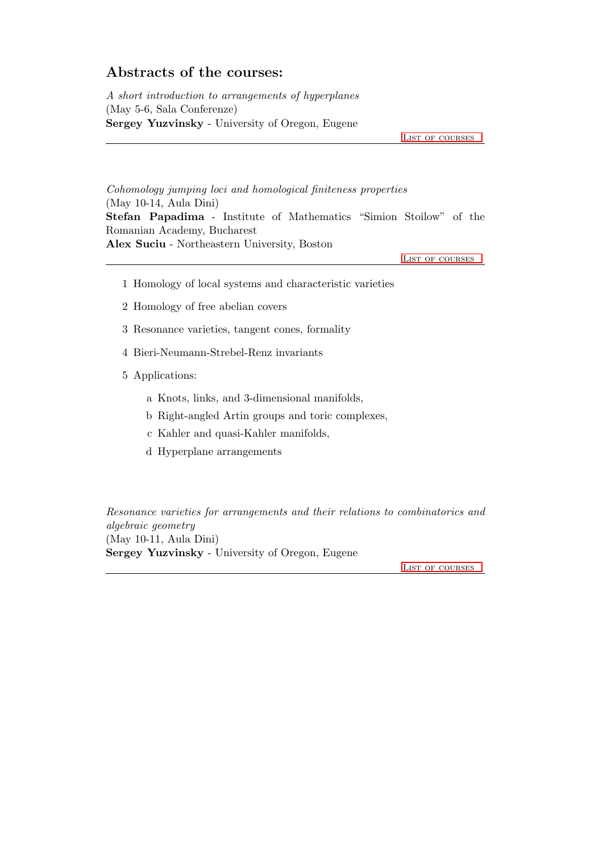### Abstracts of the courses:

A short introduction to arrangements of hyperplanes (May 5-6, Sala Conferenze) Sergey Yuzvinsky - University of Oregon, Eugene

LIST OF COURSES

<span id="page-3-0"></span>Cohomology jumping loci and homological finiteness properties (May 10-14, Aula Dini) Stefan Papadima - Institute of Mathematics "Simion Stoilow" of the Romanian Academy, Bucharest Alex Suciu - Northeastern University, Boston

LIST OF COURSES

- 1 Homology of local systems and characteristic varieties
- 2 Homology of free abelian covers
- 3 Resonance varieties, tangent cones, formality
- 4 Bieri-Neumann-Strebel-Renz invariants
- 5 Applications:
	- a Knots, links, and 3-dimensional manifolds,
	- b Right-angled Artin groups and toric complexes,
	- c Kahler and quasi-Kahler manifolds,
	- d Hyperplane arrangements

Resonance varieties for arrangements and their relations to combinatorics and algebraic geometry (May 10-11, Aula Dini) Sergey Yuzvinsky - University of Oregon, Eugene

[List of courses](#page-0-0)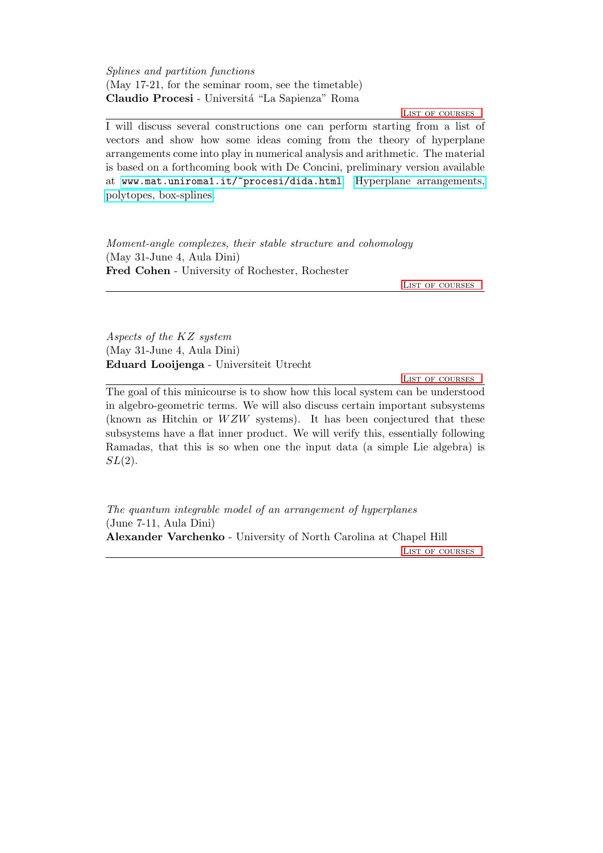<span id="page-4-0"></span>Splines and partition functions (May 17-21, for the seminar room, see the timetable) Claudio Procesi - Universitá "La Sapienza" Roma

LIST OF COURSES

I will discuss several constructions one can perform starting from a list of vectors and show how some ideas coming from the theory of hyperplane arrangements come into play in numerical analysis and arithmetic. The material is based on a forthcoming book with De Concini, preliminary version available at [www.mat.uniroma1.it/~procesi/dida.html](http://www.mat.uniroma1.it/~procesi/dida.html): [Hyperplane arrangements,](http://www.mat.uniroma1.it/~procesi/finale(10-16).pdf) [polytopes, box-splines.](http://www.mat.uniroma1.it/~procesi/finale(10-16).pdf)

Moment-angle complexes, their stable structure and cohomology (May 31-June 4, Aula Dini) Fred Cohen - University of Rochester, Rochester

[List of courses](#page-0-0)

<span id="page-4-1"></span>Aspects of the KZ system (May 31-June 4, Aula Dini) Eduard Looijenga - Universiteit Utrecht

LIST OF COURSES

The goal of this minicourse is to show how this local system can be understood in algebro-geometric terms. We will also discuss certain important subsystems (known as Hitchin or  $WZW$  systems). It has been conjectured that these subsystems have a flat inner product. We will verify this, essentially following Ramadas, that this is so when one the input data (a simple Lie algebra) is  $SL(2)$ .

The quantum integrable model of an arrangement of hyperplanes (June 7-11, Aula Dini) Alexander Varchenko - University of North Carolina at Chapel Hill LIST OF COURSES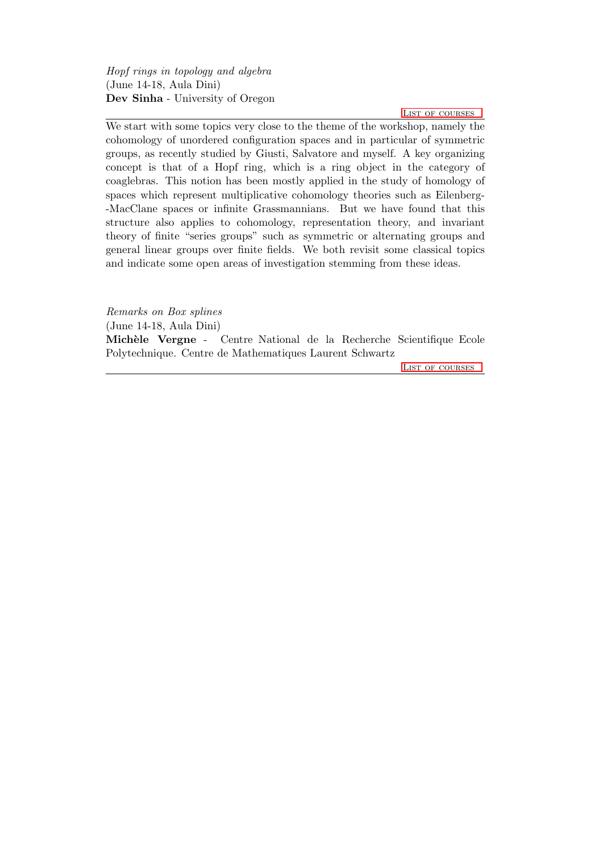<span id="page-5-0"></span>Hopf rings in topology and algebra (June 14-18, Aula Dini) Dev Sinha - University of Oregon

[List of courses](#page-0-0)

We start with some topics very close to the theme of the workshop, namely the cohomology of unordered configuration spaces and in particular of symmetric groups, as recently studied by Giusti, Salvatore and myself. A key organizing concept is that of a Hopf ring, which is a ring object in the category of coaglebras. This notion has been mostly applied in the study of homology of spaces which represent multiplicative cohomology theories such as Eilenberg- -MacClane spaces or infinite Grassmannians. But we have found that this structure also applies to cohomology, representation theory, and invariant theory of finite "series groups" such as symmetric or alternating groups and general linear groups over finite fields. We both revisit some classical topics and indicate some open areas of investigation stemming from these ideas.

Remarks on Box splines (June 14-18, Aula Dini) Mich`ele Vergne - Centre National de la Recherche Scientifique Ecole Polytechnique. Centre de Mathematiques Laurent Schwartz

LIST OF COURSES